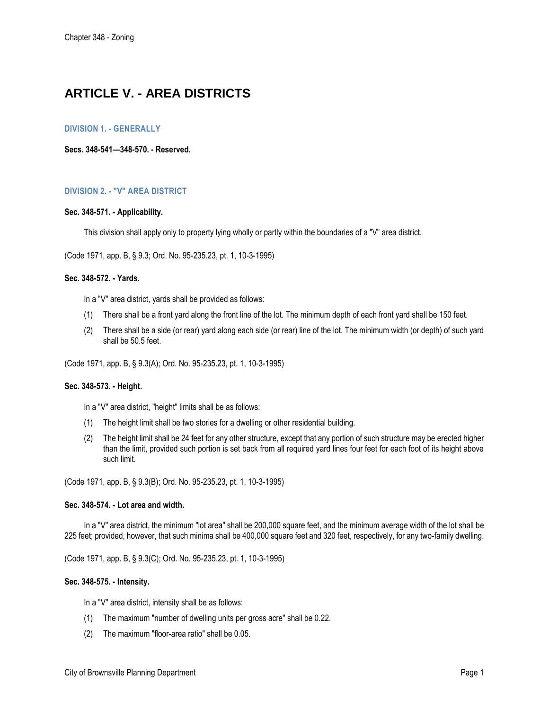# **ARTICLE V. - AREA DISTRICTS**

# **DIVISION 1. - GENERALLY**

**Secs. 348-541—348-570. - Reserved.** 

# **DIVISION 2. - "V" AREA DISTRICT**

#### **Sec. 348-571. - Applicability.**

This division shall apply only to property lying wholly or partly within the boundaries of a "V" area district.

(Code 1971, app. B, § 9.3; Ord. No. 95-235.23, pt. 1, 10-3-1995)

## **Sec. 348-572. - Yards.**

In a "V" area district, yards shall be provided as follows:

- (1) There shall be a front yard along the front line of the lot. The minimum depth of each front yard shall be 150 feet.
- (2) There shall be a side (or rear) yard along each side (or rear) line of the lot. The minimum width (or depth) of such yard shall be 50.5 feet.

(Code 1971, app. B, § 9.3(A); Ord. No. 95-235.23, pt. 1, 10-3-1995)

## **Sec. 348-573. - Height.**

In a "V" area district, "height" limits shall be as follows:

- (1) The height limit shall be two stories for a dwelling or other residential building.
- (2) The height limit shall be 24 feet for any other structure, except that any portion of such structure may be erected higher than the limit, provided such portion is set back from all required yard lines four feet for each foot of its height above such limit.

(Code 1971, app. B, § 9.3(B); Ord. No. 95-235.23, pt. 1, 10-3-1995)

#### **Sec. 348-574. - Lot area and width.**

In a "V" area district, the minimum "lot area" shall be 200,000 square feet, and the minimum average width of the lot shall be 225 feet; provided, however, that such minima shall be 400,000 square feet and 320 feet, respectively, for any two-family dwelling.

(Code 1971, app. B, § 9.3(C); Ord. No. 95-235.23, pt. 1, 10-3-1995)

#### **Sec. 348-575. - Intensity.**

In a "V" area district, intensity shall be as follows:

- (1) The maximum "number of dwelling units per gross acre" shall be 0.22.
- (2) The maximum "floor-area ratio" shall be 0.05.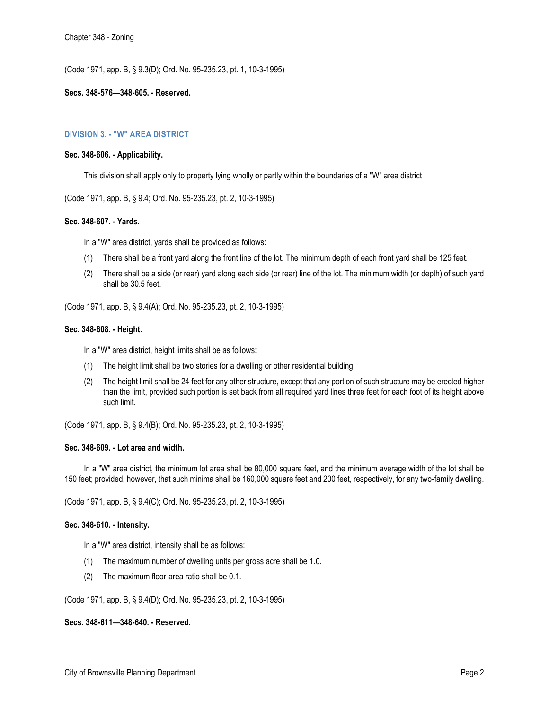(Code 1971, app. B, § 9.3(D); Ord. No. 95-235.23, pt. 1, 10-3-1995)

## **Secs. 348-576—348-605. - Reserved.**

# **DIVISION 3. - "W" AREA DISTRICT**

## **Sec. 348-606. - Applicability.**

This division shall apply only to property lying wholly or partly within the boundaries of a "W" area district

(Code 1971, app. B, § 9.4; Ord. No. 95-235.23, pt. 2, 10-3-1995)

# **Sec. 348-607. - Yards.**

In a "W" area district, yards shall be provided as follows:

- (1) There shall be a front yard along the front line of the lot. The minimum depth of each front yard shall be 125 feet.
- (2) There shall be a side (or rear) yard along each side (or rear) line of the lot. The minimum width (or depth) of such yard shall be 30.5 feet.

(Code 1971, app. B, § 9.4(A); Ord. No. 95-235.23, pt. 2, 10-3-1995)

## **Sec. 348-608. - Height.**

In a "W" area district, height limits shall be as follows:

- (1) The height limit shall be two stories for a dwelling or other residential building.
- (2) The height limit shall be 24 feet for any other structure, except that any portion of such structure may be erected higher than the limit, provided such portion is set back from all required yard lines three feet for each foot of its height above such limit.

(Code 1971, app. B, § 9.4(B); Ord. No. 95-235.23, pt. 2, 10-3-1995)

#### **Sec. 348-609. - Lot area and width.**

In a "W" area district, the minimum lot area shall be 80,000 square feet, and the minimum average width of the lot shall be 150 feet; provided, however, that such minima shall be 160,000 square feet and 200 feet, respectively, for any two-family dwelling.

(Code 1971, app. B, § 9.4(C); Ord. No. 95-235.23, pt. 2, 10-3-1995)

# **Sec. 348-610. - Intensity.**

- In a "W" area district, intensity shall be as follows:
- (1) The maximum number of dwelling units per gross acre shall be 1.0.
- (2) The maximum floor-area ratio shall be 0.1.

(Code 1971, app. B, § 9.4(D); Ord. No. 95-235.23, pt. 2, 10-3-1995)

#### **Secs. 348-611—348-640. - Reserved.**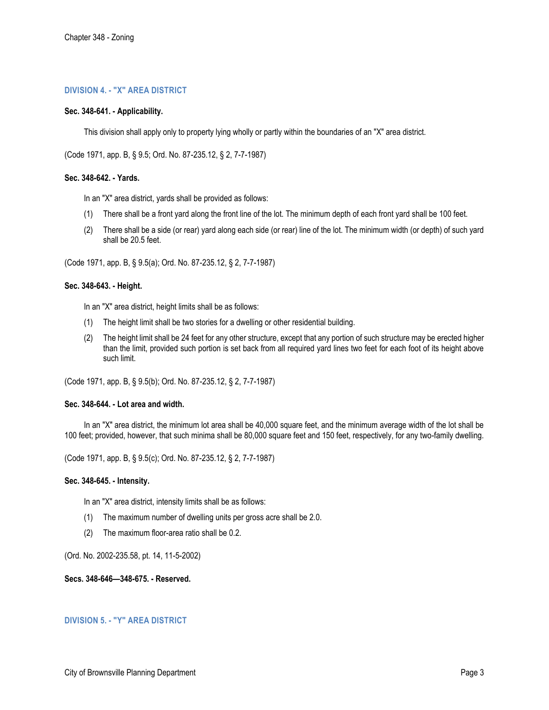# **DIVISION 4. - "X" AREA DISTRICT**

## **Sec. 348-641. - Applicability.**

This division shall apply only to property lying wholly or partly within the boundaries of an "X" area district.

(Code 1971, app. B, § 9.5; Ord. No. 87-235.12, § 2, 7-7-1987)

## **Sec. 348-642. - Yards.**

In an "X" area district, yards shall be provided as follows:

- (1) There shall be a front yard along the front line of the lot. The minimum depth of each front yard shall be 100 feet.
- (2) There shall be a side (or rear) yard along each side (or rear) line of the lot. The minimum width (or depth) of such yard shall be 20.5 feet.

(Code 1971, app. B, § 9.5(a); Ord. No. 87-235.12, § 2, 7-7-1987)

## **Sec. 348-643. - Height.**

In an "X" area district, height limits shall be as follows:

- (1) The height limit shall be two stories for a dwelling or other residential building.
- (2) The height limit shall be 24 feet for any other structure, except that any portion of such structure may be erected higher than the limit, provided such portion is set back from all required yard lines two feet for each foot of its height above such limit.

(Code 1971, app. B, § 9.5(b); Ord. No. 87-235.12, § 2, 7-7-1987)

#### **Sec. 348-644. - Lot area and width.**

In an "X" area district, the minimum lot area shall be 40,000 square feet, and the minimum average width of the lot shall be 100 feet; provided, however, that such minima shall be 80,000 square feet and 150 feet, respectively, for any two-family dwelling.

(Code 1971, app. B, § 9.5(c); Ord. No. 87-235.12, § 2, 7-7-1987)

#### **Sec. 348-645. - Intensity.**

In an "X" area district, intensity limits shall be as follows:

- (1) The maximum number of dwelling units per gross acre shall be 2.0.
- (2) The maximum floor-area ratio shall be 0.2.

(Ord. No. 2002-235.58, pt. 14, 11-5-2002)

# **Secs. 348-646—348-675. - Reserved.**

# **DIVISION 5. - "Y" AREA DISTRICT**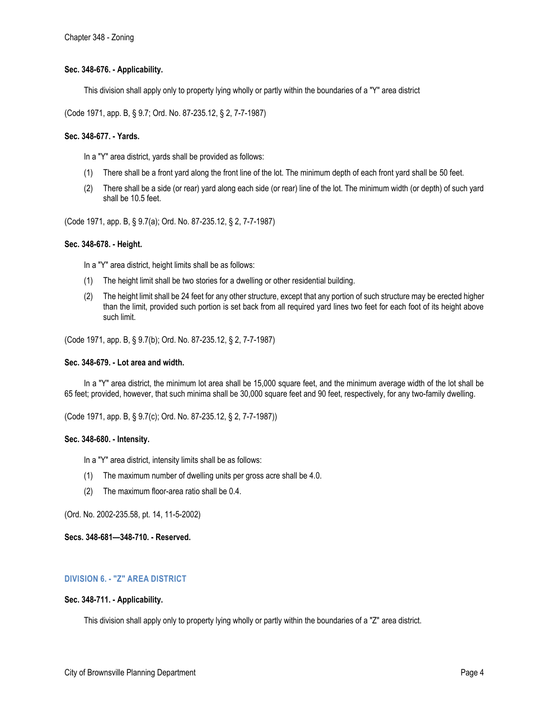# **Sec. 348-676. - Applicability.**

This division shall apply only to property lying wholly or partly within the boundaries of a "Y" area district

(Code 1971, app. B, § 9.7; Ord. No. 87-235.12, § 2, 7-7-1987)

# **Sec. 348-677. - Yards.**

In a "Y" area district, yards shall be provided as follows:

- (1) There shall be a front yard along the front line of the lot. The minimum depth of each front yard shall be 50 feet.
- (2) There shall be a side (or rear) yard along each side (or rear) line of the lot. The minimum width (or depth) of such yard shall be 10.5 feet.

(Code 1971, app. B, § 9.7(a); Ord. No. 87-235.12, § 2, 7-7-1987)

#### **Sec. 348-678. - Height.**

In a "Y" area district, height limits shall be as follows:

- (1) The height limit shall be two stories for a dwelling or other residential building.
- (2) The height limit shall be 24 feet for any other structure, except that any portion of such structure may be erected higher than the limit, provided such portion is set back from all required yard lines two feet for each foot of its height above such limit.

(Code 1971, app. B, § 9.7(b); Ord. No. 87-235.12, § 2, 7-7-1987)

#### **Sec. 348-679. - Lot area and width.**

In a "Y" area district, the minimum lot area shall be 15,000 square feet, and the minimum average width of the lot shall be 65 feet; provided, however, that such minima shall be 30,000 square feet and 90 feet, respectively, for any two-family dwelling.

(Code 1971, app. B, § 9.7(c); Ord. No. 87-235.12, § 2, 7-7-1987))

#### **Sec. 348-680. - Intensity.**

In a "Y" area district, intensity limits shall be as follows:

- (1) The maximum number of dwelling units per gross acre shall be 4.0.
- (2) The maximum floor-area ratio shall be 0.4.

(Ord. No. 2002-235.58, pt. 14, 11-5-2002)

**Secs. 348-681—348-710. - Reserved.** 

# **DIVISION 6. - "Z" AREA DISTRICT**

#### **Sec. 348-711. - Applicability.**

This division shall apply only to property lying wholly or partly within the boundaries of a "Z" area district.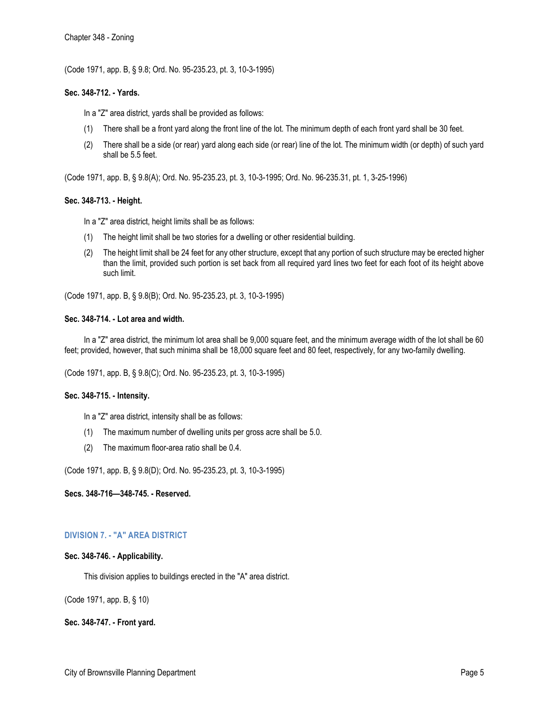(Code 1971, app. B, § 9.8; Ord. No. 95-235.23, pt. 3, 10-3-1995)

# **Sec. 348-712. - Yards.**

In a "Z" area district, yards shall be provided as follows:

- (1) There shall be a front yard along the front line of the lot. The minimum depth of each front yard shall be 30 feet.
- (2) There shall be a side (or rear) yard along each side (or rear) line of the lot. The minimum width (or depth) of such yard shall be 5.5 feet.

(Code 1971, app. B, § 9.8(A); Ord. No. 95-235.23, pt. 3, 10-3-1995; Ord. No. 96-235.31, pt. 1, 3-25-1996)

## **Sec. 348-713. - Height.**

In a "Z" area district, height limits shall be as follows:

- (1) The height limit shall be two stories for a dwelling or other residential building.
- (2) The height limit shall be 24 feet for any other structure, except that any portion of such structure may be erected higher than the limit, provided such portion is set back from all required yard lines two feet for each foot of its height above such limit.

(Code 1971, app. B, § 9.8(B); Ord. No. 95-235.23, pt. 3, 10-3-1995)

## **Sec. 348-714. - Lot area and width.**

In a "Z" area district, the minimum lot area shall be 9,000 square feet, and the minimum average width of the lot shall be 60 feet; provided, however, that such minima shall be 18,000 square feet and 80 feet, respectively, for any two-family dwelling.

(Code 1971, app. B, § 9.8(C); Ord. No. 95-235.23, pt. 3, 10-3-1995)

#### **Sec. 348-715. - Intensity.**

In a "Z" area district, intensity shall be as follows:

- (1) The maximum number of dwelling units per gross acre shall be 5.0.
- (2) The maximum floor-area ratio shall be 0.4.

(Code 1971, app. B, § 9.8(D); Ord. No. 95-235.23, pt. 3, 10-3-1995)

# **Secs. 348-716—348-745. - Reserved.**

# **DIVISION 7. - "A" AREA DISTRICT**

# **Sec. 348-746. - Applicability.**

This division applies to buildings erected in the "A" area district.

(Code 1971, app. B, § 10)

**Sec. 348-747. - Front yard.**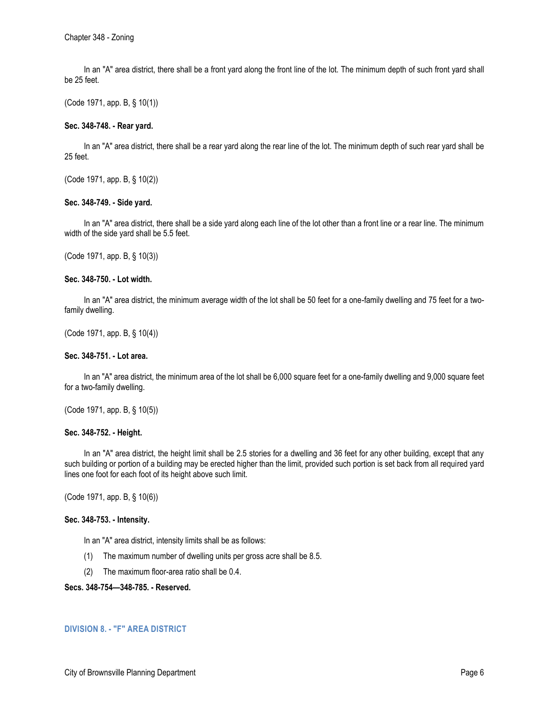In an "A" area district, there shall be a front yard along the front line of the lot. The minimum depth of such front yard shall be 25 feet.

(Code 1971, app. B, § 10(1))

# **Sec. 348-748. - Rear yard.**

In an "A" area district, there shall be a rear yard along the rear line of the lot. The minimum depth of such rear yard shall be 25 feet.

(Code 1971, app. B, § 10(2))

## **Sec. 348-749. - Side yard.**

In an "A" area district, there shall be a side yard along each line of the lot other than a front line or a rear line. The minimum width of the side yard shall be 5.5 feet.

(Code 1971, app. B, § 10(3))

## **Sec. 348-750. - Lot width.**

In an "A" area district, the minimum average width of the lot shall be 50 feet for a one-family dwelling and 75 feet for a twofamily dwelling.

(Code 1971, app. B, § 10(4))

## **Sec. 348-751. - Lot area.**

In an "A" area district, the minimum area of the lot shall be 6,000 square feet for a one-family dwelling and 9,000 square feet for a two-family dwelling.

(Code 1971, app. B, § 10(5))

#### **Sec. 348-752. - Height.**

In an "A" area district, the height limit shall be 2.5 stories for a dwelling and 36 feet for any other building, except that any such building or portion of a building may be erected higher than the limit, provided such portion is set back from all required yard lines one foot for each foot of its height above such limit.

(Code 1971, app. B, § 10(6))

#### **Sec. 348-753. - Intensity.**

In an "A" area district, intensity limits shall be as follows:

- (1) The maximum number of dwelling units per gross acre shall be 8.5.
- (2) The maximum floor-area ratio shall be 0.4.

# **Secs. 348-754—348-785. - Reserved.**

# **DIVISION 8. - "F" AREA DISTRICT**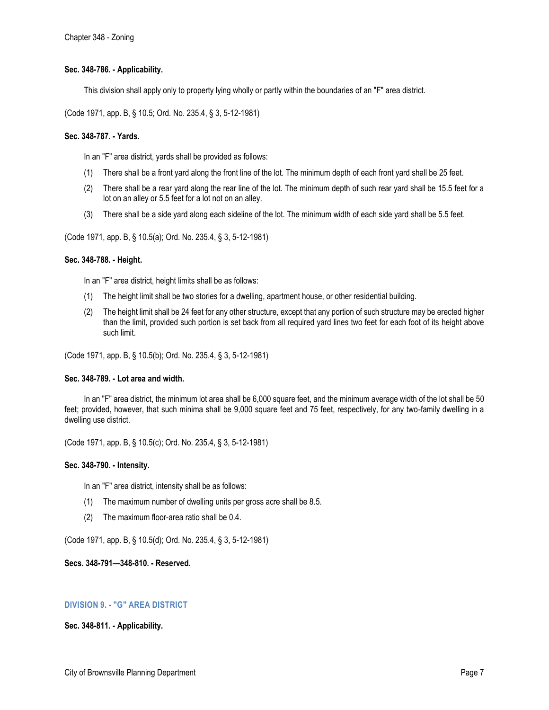# **Sec. 348-786. - Applicability.**

This division shall apply only to property lying wholly or partly within the boundaries of an "F" area district.

(Code 1971, app. B, § 10.5; Ord. No. 235.4, § 3, 5-12-1981)

## **Sec. 348-787. - Yards.**

In an "F" area district, yards shall be provided as follows:

- (1) There shall be a front yard along the front line of the lot. The minimum depth of each front yard shall be 25 feet.
- (2) There shall be a rear yard along the rear line of the lot. The minimum depth of such rear yard shall be 15.5 feet for a lot on an alley or 5.5 feet for a lot not on an alley.
- (3) There shall be a side yard along each sideline of the lot. The minimum width of each side yard shall be 5.5 feet.

(Code 1971, app. B, § 10.5(a); Ord. No. 235.4, § 3, 5-12-1981)

## **Sec. 348-788. - Height.**

In an "F" area district, height limits shall be as follows:

- (1) The height limit shall be two stories for a dwelling, apartment house, or other residential building.
- (2) The height limit shall be 24 feet for any other structure, except that any portion of such structure may be erected higher than the limit, provided such portion is set back from all required yard lines two feet for each foot of its height above such limit.

(Code 1971, app. B, § 10.5(b); Ord. No. 235.4, § 3, 5-12-1981)

#### **Sec. 348-789. - Lot area and width.**

In an "F" area district, the minimum lot area shall be 6,000 square feet, and the minimum average width of the lot shall be 50 feet; provided, however, that such minima shall be 9,000 square feet and 75 feet, respectively, for any two-family dwelling in a dwelling use district.

(Code 1971, app. B, § 10.5(c); Ord. No. 235.4, § 3, 5-12-1981)

#### **Sec. 348-790. - Intensity.**

In an "F" area district, intensity shall be as follows:

- (1) The maximum number of dwelling units per gross acre shall be 8.5.
- (2) The maximum floor-area ratio shall be 0.4.

(Code 1971, app. B, § 10.5(d); Ord. No. 235.4, § 3, 5-12-1981)

#### **Secs. 348-791—348-810. - Reserved.**

# **DIVISION 9. - "G" AREA DISTRICT**

## **Sec. 348-811. - Applicability.**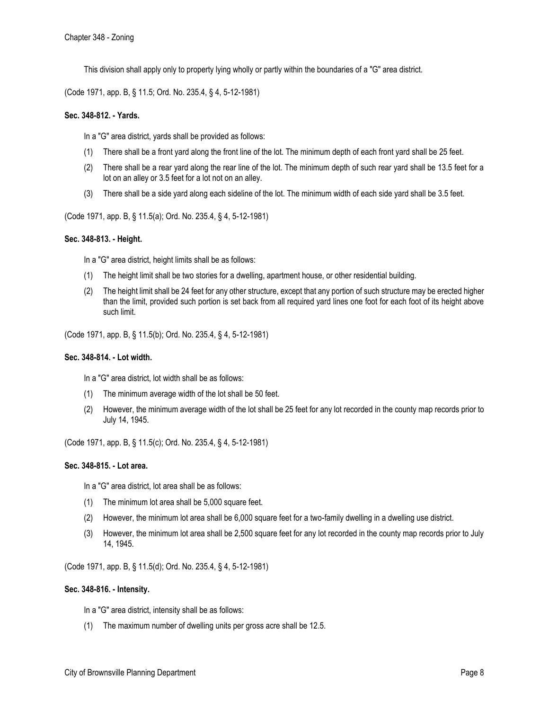This division shall apply only to property lying wholly or partly within the boundaries of a "G" area district.

(Code 1971, app. B, § 11.5; Ord. No. 235.4, § 4, 5-12-1981)

## **Sec. 348-812. - Yards.**

In a "G" area district, yards shall be provided as follows:

- (1) There shall be a front yard along the front line of the lot. The minimum depth of each front yard shall be 25 feet.
- (2) There shall be a rear yard along the rear line of the lot. The minimum depth of such rear yard shall be 13.5 feet for a lot on an alley or 3.5 feet for a lot not on an alley.
- (3) There shall be a side yard along each sideline of the lot. The minimum width of each side yard shall be 3.5 feet.

(Code 1971, app. B, § 11.5(a); Ord. No. 235.4, § 4, 5-12-1981)

## **Sec. 348-813. - Height.**

In a "G" area district, height limits shall be as follows:

- (1) The height limit shall be two stories for a dwelling, apartment house, or other residential building.
- (2) The height limit shall be 24 feet for any other structure, except that any portion of such structure may be erected higher than the limit, provided such portion is set back from all required yard lines one foot for each foot of its height above such limit.

(Code 1971, app. B, § 11.5(b); Ord. No. 235.4, § 4, 5-12-1981)

#### **Sec. 348-814. - Lot width.**

In a "G" area district, lot width shall be as follows:

- (1) The minimum average width of the lot shall be 50 feet.
- (2) However, the minimum average width of the lot shall be 25 feet for any lot recorded in the county map records prior to July 14, 1945.

(Code 1971, app. B, § 11.5(c); Ord. No. 235.4, § 4, 5-12-1981)

#### **Sec. 348-815. - Lot area.**

In a "G" area district, lot area shall be as follows:

- (1) The minimum lot area shall be 5,000 square feet.
- (2) However, the minimum lot area shall be 6,000 square feet for a two-family dwelling in a dwelling use district.
- (3) However, the minimum lot area shall be 2,500 square feet for any lot recorded in the county map records prior to July 14, 1945.

(Code 1971, app. B, § 11.5(d); Ord. No. 235.4, § 4, 5-12-1981)

#### **Sec. 348-816. - Intensity.**

In a "G" area district, intensity shall be as follows:

(1) The maximum number of dwelling units per gross acre shall be 12.5.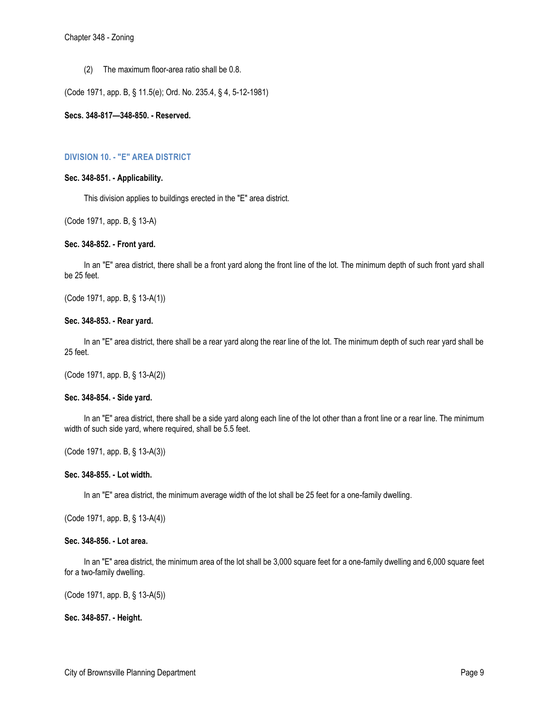(2) The maximum floor-area ratio shall be 0.8.

(Code 1971, app. B, § 11.5(e); Ord. No. 235.4, § 4, 5-12-1981)

**Secs. 348-817—348-850. - Reserved.** 

# **DIVISION 10. - "E" AREA DISTRICT**

#### **Sec. 348-851. - Applicability.**

This division applies to buildings erected in the "E" area district.

(Code 1971, app. B, § 13-A)

# **Sec. 348-852. - Front yard.**

In an "E" area district, there shall be a front yard along the front line of the lot. The minimum depth of such front yard shall be 25 feet.

(Code 1971, app. B, § 13-A(1))

## **Sec. 348-853. - Rear yard.**

In an "E" area district, there shall be a rear yard along the rear line of the lot. The minimum depth of such rear yard shall be 25 feet.

(Code 1971, app. B, § 13-A(2))

#### **Sec. 348-854. - Side yard.**

In an "E" area district, there shall be a side yard along each line of the lot other than a front line or a rear line. The minimum width of such side yard, where required, shall be 5.5 feet.

(Code 1971, app. B, § 13-A(3))

# **Sec. 348-855. - Lot width.**

In an "E" area district, the minimum average width of the lot shall be 25 feet for a one-family dwelling.

(Code 1971, app. B, § 13-A(4))

#### **Sec. 348-856. - Lot area.**

In an "E" area district, the minimum area of the lot shall be 3,000 square feet for a one-family dwelling and 6,000 square feet for a two-family dwelling.

(Code 1971, app. B, § 13-A(5))

**Sec. 348-857. - Height.**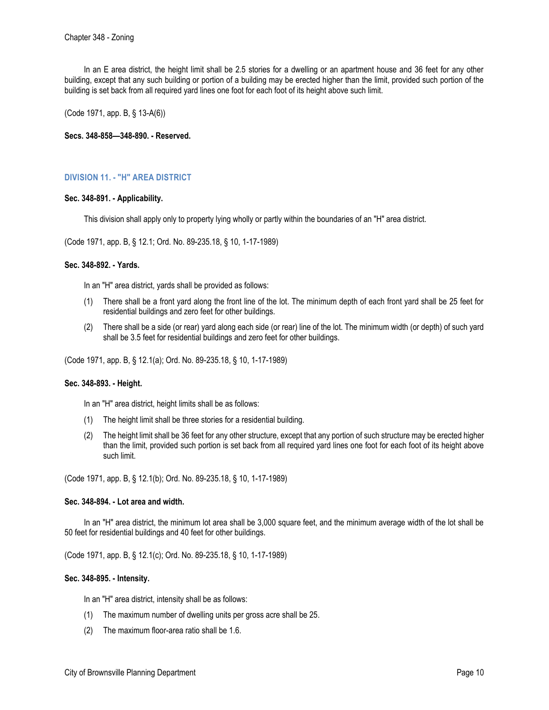In an E area district, the height limit shall be 2.5 stories for a dwelling or an apartment house and 36 feet for any other building, except that any such building or portion of a building may be erected higher than the limit, provided such portion of the building is set back from all required yard lines one foot for each foot of its height above such limit.

(Code 1971, app. B, § 13-A(6))

**Secs. 348-858—348-890. - Reserved.** 

# **DIVISION 11. - "H" AREA DISTRICT**

## **Sec. 348-891. - Applicability.**

This division shall apply only to property lying wholly or partly within the boundaries of an "H" area district.

(Code 1971, app. B, § 12.1; Ord. No. 89-235.18, § 10, 1-17-1989)

## **Sec. 348-892. - Yards.**

In an "H" area district, yards shall be provided as follows:

- (1) There shall be a front yard along the front line of the lot. The minimum depth of each front yard shall be 25 feet for residential buildings and zero feet for other buildings.
- (2) There shall be a side (or rear) yard along each side (or rear) line of the lot. The minimum width (or depth) of such yard shall be 3.5 feet for residential buildings and zero feet for other buildings.

(Code 1971, app. B, § 12.1(a); Ord. No. 89-235.18, § 10, 1-17-1989)

#### **Sec. 348-893. - Height.**

In an "H" area district, height limits shall be as follows:

- (1) The height limit shall be three stories for a residential building.
- (2) The height limit shall be 36 feet for any other structure, except that any portion of such structure may be erected higher than the limit, provided such portion is set back from all required yard lines one foot for each foot of its height above such limit.

(Code 1971, app. B, § 12.1(b); Ord. No. 89-235.18, § 10, 1-17-1989)

#### **Sec. 348-894. - Lot area and width.**

In an "H" area district, the minimum lot area shall be 3,000 square feet, and the minimum average width of the lot shall be 50 feet for residential buildings and 40 feet for other buildings.

(Code 1971, app. B, § 12.1(c); Ord. No. 89-235.18, § 10, 1-17-1989)

#### **Sec. 348-895. - Intensity.**

In an "H" area district, intensity shall be as follows:

- (1) The maximum number of dwelling units per gross acre shall be 25.
- (2) The maximum floor-area ratio shall be 1.6.